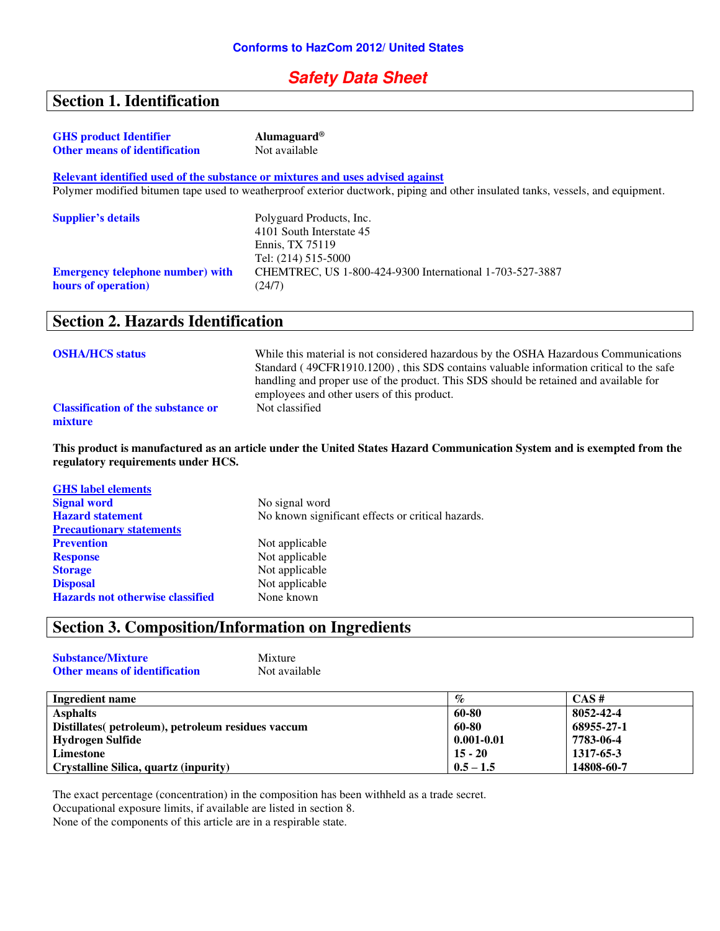### **Safety Data Sheet**

# **Section 1. Identification**

| <b>GHS</b> product Identifier<br><b>Other means of identification</b> | Alumaguard <sup>®</sup><br>Not available                                                                                        |
|-----------------------------------------------------------------------|---------------------------------------------------------------------------------------------------------------------------------|
|                                                                       | Relevant identified used of the substance or mixtures and uses advised against                                                  |
|                                                                       | Polymer modified bitumen tape used to weatherproof exterior ductwork, piping and other insulated tanks, vessels, and equipment. |
| <b>Supplier's details</b>                                             | Polyguard Products, Inc.<br>4101 South Interstate 45<br>Ennis. TX 75119<br>Tel: (214) 515-5000                                  |
| <b>Emergency telephone number) with</b><br>hours of operation)        | CHEMTREC, US 1-800-424-9300 International 1-703-527-3887<br>(24/7)                                                              |
| Section 2 Hazards Identification                                      |                                                                                                                                 |

### **Section 2. Hazards Identification**

| <b>OSHA/HCS status</b>                               | While this material is not considered hazardous by the OSHA Hazardous Communications<br>Standard (49CFR1910.1200), this SDS contains valuable information critical to the safe<br>handling and proper use of the product. This SDS should be retained and available for<br>employees and other users of this product. |
|------------------------------------------------------|-----------------------------------------------------------------------------------------------------------------------------------------------------------------------------------------------------------------------------------------------------------------------------------------------------------------------|
| <b>Classification of the substance or</b><br>mixture | Not classified                                                                                                                                                                                                                                                                                                        |

**This product is manufactured as an article under the United States Hazard Communication System and is exempted from the regulatory requirements under HCS.** 

| No signal word                                    |
|---------------------------------------------------|
| No known significant effects or critical hazards. |
|                                                   |
| Not applicable                                    |
| Not applicable                                    |
| Not applicable                                    |
| Not applicable                                    |
| None known                                        |
|                                                   |

### **Section 3. Composition/Information on Ingredients**

| <b>Substance/Mixture</b>             | Mixture       |
|--------------------------------------|---------------|
| <b>Other means of identification</b> | Not available |

| Ingredient name                                    | $\%$           | $CAS \#$   |
|----------------------------------------------------|----------------|------------|
| <b>Asphalts</b>                                    | 60-80          | 8052-42-4  |
| Distillates (petroleum), petroleum residues vaccum | 60-80          | 68955-27-1 |
| Hydrogen Sulfide                                   | $0.001 - 0.01$ | 7783-06-4  |
| Limestone                                          | $15 - 20$      | 1317-65-3  |
| Crystalline Silica, quartz (inpurity)              | $0.5 - 1.5$    | 14808-60-7 |

The exact percentage (concentration) in the composition has been withheld as a trade secret. Occupational exposure limits, if available are listed in section 8.

None of the components of this article are in a respirable state.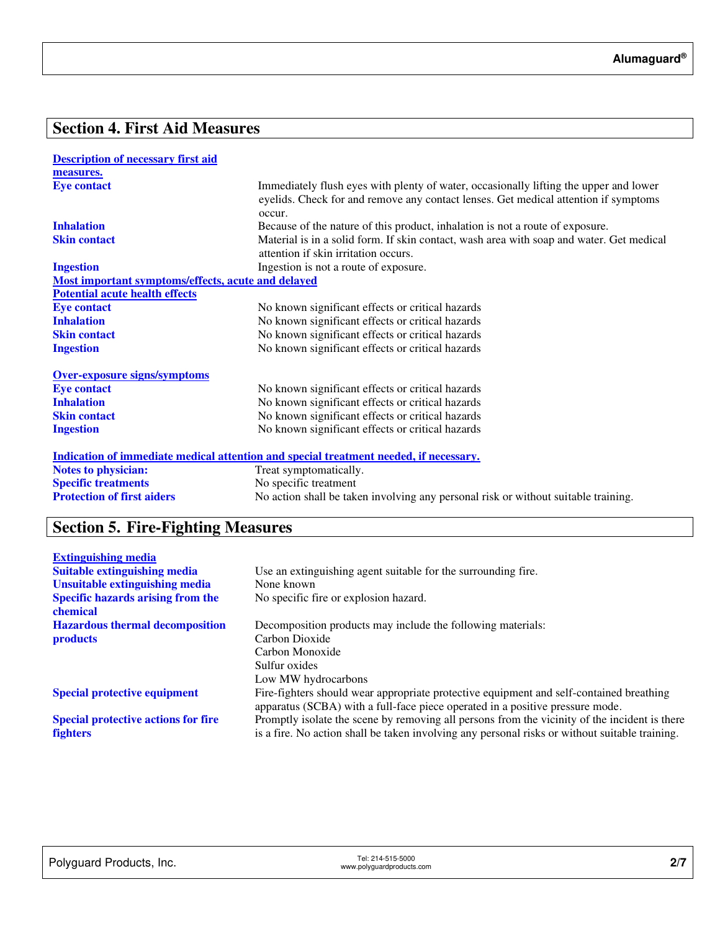## **Section 4. First Aid Measures**

| <b>Description of necessary first aid</b>          |                                                                                                                                                                                        |
|----------------------------------------------------|----------------------------------------------------------------------------------------------------------------------------------------------------------------------------------------|
| measures.                                          |                                                                                                                                                                                        |
| <b>Eye contact</b>                                 | Immediately flush eyes with plenty of water, occasionally lifting the upper and lower<br>eyelids. Check for and remove any contact lenses. Get medical attention if symptoms<br>occur. |
| <b>Inhalation</b>                                  | Because of the nature of this product, inhalation is not a route of exposure.                                                                                                          |
| <b>Skin contact</b>                                | Material is in a solid form. If skin contact, wash area with soap and water. Get medical<br>attention if skin irritation occurs.                                                       |
| <b>Ingestion</b>                                   | Ingestion is not a route of exposure.                                                                                                                                                  |
| Most important symptoms/effects, acute and delayed |                                                                                                                                                                                        |
| <b>Potential acute health effects</b>              |                                                                                                                                                                                        |
| <b>Eye contact</b>                                 | No known significant effects or critical hazards                                                                                                                                       |
| <b>Inhalation</b>                                  | No known significant effects or critical hazards                                                                                                                                       |
| <b>Skin contact</b>                                | No known significant effects or critical hazards                                                                                                                                       |
| <b>Ingestion</b>                                   | No known significant effects or critical hazards                                                                                                                                       |
| <b>Over-exposure signs/symptoms</b>                |                                                                                                                                                                                        |
| <b>Eye contact</b>                                 | No known significant effects or critical hazards                                                                                                                                       |
| <b>Inhalation</b>                                  | No known significant effects or critical hazards                                                                                                                                       |
| <b>Skin contact</b>                                | No known significant effects or critical hazards                                                                                                                                       |
| <b>Ingestion</b>                                   | No known significant effects or critical hazards                                                                                                                                       |
|                                                    | <u>Indication of immediate medical attention and special treatment needed, if necessary.</u>                                                                                           |
| <b>Notes to physician:</b>                         | Treat symptomatically.                                                                                                                                                                 |
| <b>Specific treatments</b>                         | No specific treatment                                                                                                                                                                  |
| <b>Protection of first aiders</b>                  | No action shall be taken involving any personal risk or without suitable training.                                                                                                     |

# **Section 5. Fire-Fighting Measures**

| <b>Extinguishing media</b>                 |                                                                                                |
|--------------------------------------------|------------------------------------------------------------------------------------------------|
| <b>Suitable extinguishing media</b>        | Use an extinguishing agent suitable for the surrounding fire.                                  |
| Unsuitable extinguishing media             | None known                                                                                     |
| <b>Specific hazards arising from the</b>   | No specific fire or explosion hazard.                                                          |
| chemical                                   |                                                                                                |
| <b>Hazardous thermal decomposition</b>     | Decomposition products may include the following materials:                                    |
| <b>products</b>                            | Carbon Dioxide                                                                                 |
|                                            | Carbon Monoxide                                                                                |
|                                            | Sulfur oxides                                                                                  |
|                                            | Low MW hydrocarbons                                                                            |
| <b>Special protective equipment</b>        | Fire-fighters should wear appropriate protective equipment and self-contained breathing        |
|                                            | apparatus (SCBA) with a full-face piece operated in a positive pressure mode.                  |
| <b>Special protective actions for fire</b> | Promptly isolate the scene by removing all persons from the vicinity of the incident is there  |
| <b>fighters</b>                            | is a fire. No action shall be taken involving any personal risks or without suitable training. |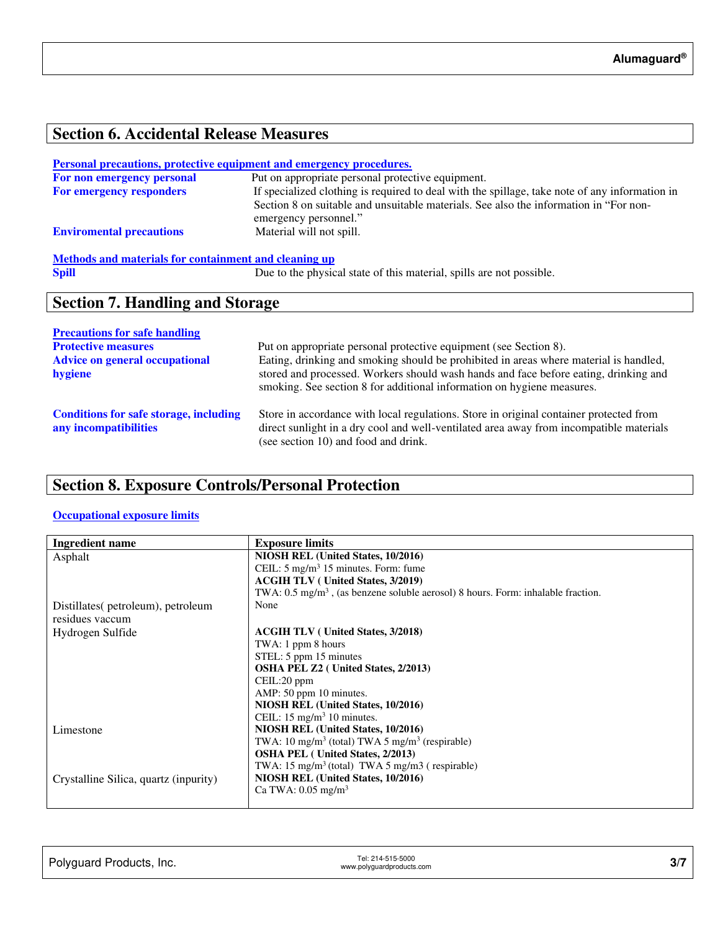## **Section 6. Accidental Release Measures**

#### **Personal precautions, protective equipment and emergency procedures.**

| For non emergency personal      | Put on appropriate personal protective equipment.                                                              |
|---------------------------------|----------------------------------------------------------------------------------------------------------------|
| <b>For emergency responders</b> | If specialized clothing is required to deal with the spillage, take note of any information in                 |
|                                 | Section 8 on suitable and unsuitable materials. See also the information in "For non-<br>emergency personnel." |
| <b>Enviromental precautions</b> | Material will not spill.                                                                                       |
|                                 |                                                                                                                |

# **Methods and materials for containment and cleaning up**<br> **Spill** Due to the physics

Due to the physical state of this material, spills are not possible.

### **Section 7. Handling and Storage**

| <b>Precautions for safe handling</b>                                   |                                                                                                                                                                                                                                                         |
|------------------------------------------------------------------------|---------------------------------------------------------------------------------------------------------------------------------------------------------------------------------------------------------------------------------------------------------|
| <b>Protective measures</b>                                             | Put on appropriate personal protective equipment (see Section 8).                                                                                                                                                                                       |
| <b>Advice on general occupational</b><br>hygiene                       | Eating, drinking and smoking should be prohibited in areas where material is handled,<br>stored and processed. Workers should wash hands and face before eating, drinking and<br>smoking. See section 8 for additional information on hygiene measures. |
| <b>Conditions for safe storage, including</b><br>any incompatibilities | Store in accordance with local regulations. Store in original container protected from<br>direct sunlight in a dry cool and well-ventilated area away from incompatible materials<br>(see section 10) and food and drink.                               |

### **Section 8. Exposure Controls/Personal Protection**

#### **Occupational exposure limits**

| Ingredient name                       | <b>Exposure limits</b>                                                                      |
|---------------------------------------|---------------------------------------------------------------------------------------------|
| Asphalt                               | NIOSH REL (United States, 10/2016)                                                          |
|                                       | CEIL: $5 \text{ mg/m}^3$ 15 minutes. Form: fume                                             |
|                                       | <b>ACGIH TLV</b> (United States, 3/2019)                                                    |
|                                       | TWA: $0.5 \text{ mg/m}^3$ , (as benzene soluble aerosol) 8 hours. Form: inhalable fraction. |
| Distillates(petroleum), petroleum     | None                                                                                        |
| residues vaccum                       |                                                                                             |
| Hydrogen Sulfide                      | <b>ACGIH TLV</b> (United States, 3/2018)                                                    |
|                                       | TWA: 1 ppm 8 hours                                                                          |
|                                       | STEL: 5 ppm 15 minutes                                                                      |
|                                       | <b>OSHA PEL Z2</b> ( United States, 2/2013)                                                 |
|                                       | CEIL:20 ppm                                                                                 |
|                                       | AMP: 50 ppm 10 minutes.                                                                     |
|                                       | NIOSH REL (United States, 10/2016)                                                          |
|                                       | CEIL: $15 \text{ mg/m}^3$ 10 minutes.                                                       |
| Limestone                             | NIOSH REL (United States, 10/2016)                                                          |
|                                       | TWA: 10 mg/m <sup>3</sup> (total) TWA 5 mg/m <sup>3</sup> (respirable)                      |
|                                       | <b>OSHA PEL</b> (United States, 2/2013)                                                     |
|                                       | TWA: 15 mg/m <sup>3</sup> (total) TWA 5 mg/m3 (respirable)                                  |
| Crystalline Silica, quartz (inpurity) | NIOSH REL (United States, 10/2016)                                                          |
|                                       | Ca TWA: $0.05 \text{ mg/m}^3$                                                               |
|                                       |                                                                                             |

| Polyguard Products, Inc. | Tel: 214-515-5000<br>www.polyguardproducts.com | 311 |
|--------------------------|------------------------------------------------|-----|
|                          |                                                |     |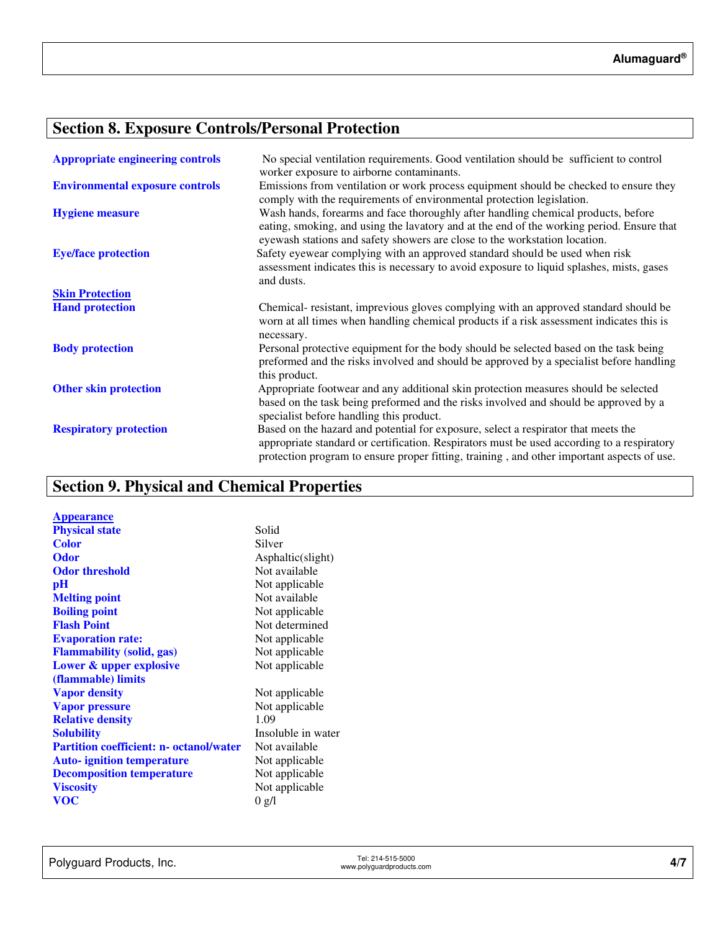# **Section 8. Exposure Controls/Personal Protection**

| <b>Appropriate engineering controls</b> | No special ventilation requirements. Good ventilation should be sufficient to control<br>worker exposure to airborne contaminants.                                                                                                                                             |
|-----------------------------------------|--------------------------------------------------------------------------------------------------------------------------------------------------------------------------------------------------------------------------------------------------------------------------------|
| <b>Environmental exposure controls</b>  | Emissions from ventilation or work process equipment should be checked to ensure they<br>comply with the requirements of environmental protection legislation.                                                                                                                 |
| <b>Hygiene measure</b>                  | Wash hands, forearms and face thoroughly after handling chemical products, before<br>eating, smoking, and using the lavatory and at the end of the working period. Ensure that<br>eyewash stations and safety showers are close to the workstation location.                   |
| <b>Eye/face protection</b>              | Safety eyewear complying with an approved standard should be used when risk<br>assessment indicates this is necessary to avoid exposure to liquid splashes, mists, gases<br>and dusts.                                                                                         |
| <b>Skin Protection</b>                  |                                                                                                                                                                                                                                                                                |
| <b>Hand protection</b>                  | Chemical-resistant, imprevious gloves complying with an approved standard should be<br>worn at all times when handling chemical products if a risk assessment indicates this is<br>necessary.                                                                                  |
| <b>Body protection</b>                  | Personal protective equipment for the body should be selected based on the task being<br>preformed and the risks involved and should be approved by a specialist before handling<br>this product.                                                                              |
| <b>Other skin protection</b>            | Appropriate footwear and any additional skin protection measures should be selected<br>based on the task being preformed and the risks involved and should be approved by a<br>specialist before handling this product.                                                        |
| <b>Respiratory protection</b>           | Based on the hazard and potential for exposure, select a respirator that meets the<br>appropriate standard or certification. Respirators must be used according to a respiratory<br>protection program to ensure proper fitting, training, and other important aspects of use. |

# **Section 9. Physical and Chemical Properties**

| <b>Appearance</b>                              |                    |
|------------------------------------------------|--------------------|
| <b>Physical state</b>                          | Solid              |
| <b>Color</b>                                   | Silver             |
| <b>Odor</b>                                    | Asphaltic(slight)  |
| <b>Odor threshold</b>                          | Not available      |
| pH                                             | Not applicable     |
| <b>Melting point</b>                           | Not available      |
| <b>Boiling point</b>                           | Not applicable     |
| <b>Flash Point</b>                             | Not determined     |
| <b>Evaporation rate:</b>                       | Not applicable     |
| <b>Flammability (solid, gas)</b>               | Not applicable     |
| Lower & upper explosive                        | Not applicable     |
| (flammable) limits                             |                    |
| <b>Vapor density</b>                           | Not applicable     |
| <b>Vapor pressure</b>                          | Not applicable     |
| <b>Relative density</b>                        | 1.09               |
| <b>Solubility</b>                              | Insoluble in water |
| <b>Partition coefficient: n- octanol/water</b> | Not available      |
| <b>Auto-</b> ignition temperature              | Not applicable     |
| <b>Decomposition temperature</b>               | Not applicable     |
| <b>Viscosity</b>                               | Not applicable     |
| <b>VOC</b>                                     | 0 g/l              |
|                                                |                    |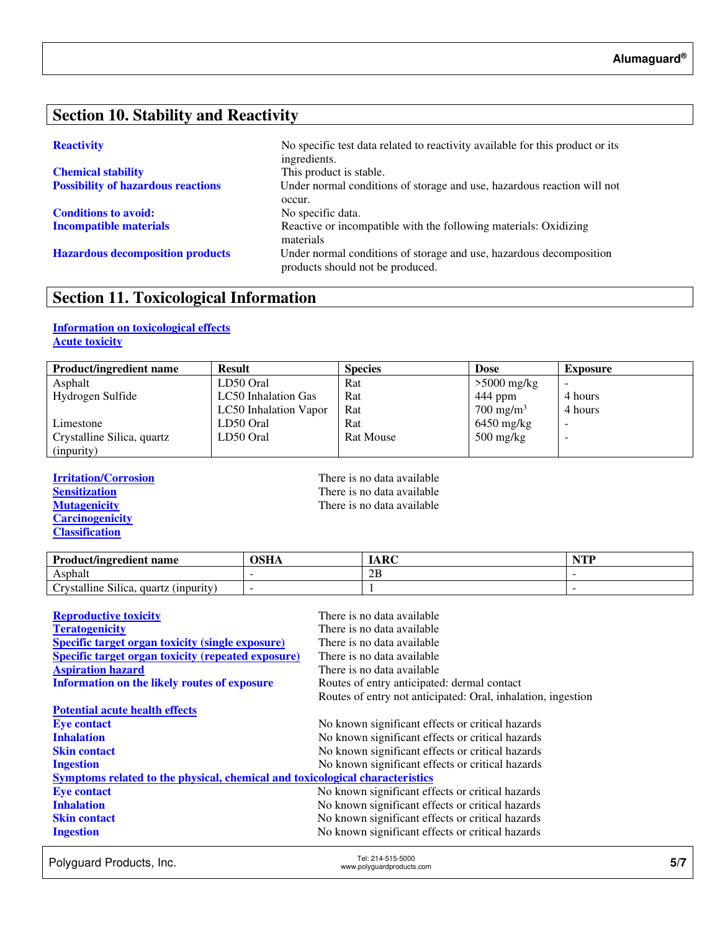### **Section 10. Stability and Reactivity**

| <b>Chemical stability</b>                 |
|-------------------------------------------|
| <b>Possibility of hazardous reactions</b> |

**Conditions to avoid:** No specific data.

**Reactivity No specific test data related to reactivity available for this product or its** ingredients. This product is stable. Under normal conditions of storage and use, hazardous reaction will not occur. **Incompatible materials Reactive or incompatible with the following materials: Oxidizing** materials **Hazardous decomposition products** Under normal conditions of storage and use, hazardous decomposition products should not be produced.

### **Section 11. Toxicological Information**

#### **Information on toxicological effects Acute toxicity**

| <b>Product/ingredient name</b> | <b>Result</b>         | <b>Species</b>   | <b>Dose</b>                       | <b>Exposure</b> |
|--------------------------------|-----------------------|------------------|-----------------------------------|-----------------|
| Asphalt                        | LD50 Oral             | Rat              | $>5000$ mg/kg                     |                 |
| Hydrogen Sulfide               | LC50 Inhalation Gas   | Rat              | 444 ppm                           | 4 hours         |
|                                | LC50 Inhalation Vapor | Rat              | $700 \text{ mg/m}^3$              | 4 hours         |
| Limestone                      | LD50 Oral             | Rat              | $6450$ mg/kg                      |                 |
| Crystalline Silica, quartz     | LD50 Oral             | <b>Rat Mouse</b> | $500 \frac{\text{mg}}{\text{kg}}$ | -               |
| (inpurity)                     |                       |                  |                                   |                 |

**Carcinogenicity Classification** 

**Irritation/Corrosion**<br> **IFREP Sensitization**<br> **IFREP Sensitization**<br> **IFREP SENSITY SENSITY SENSITY SENSITY SENSITY SENSITY SENSITY SENSITY SENSITY** SENSITY SENSITY SENSITY SENSITY SENSITY SENSITY SENSITY SENSITY SENSITY **Sensitization**<br> **Nutagenicity**<br> **There is no data available**<br> **There is no data available** There is no data available

| <b>Product/ingredient name</b>                           | OSHA | ARC | $\blacksquare$ |
|----------------------------------------------------------|------|-----|----------------|
| Asphalt                                                  |      | 2B  |                |
| $\sim$<br>11.<br>rvstalline Silica.<br>quartz (inpurity) |      |     |                |

| <b>Reproductive toxicity</b>                                                 | There is no data available                                   |
|------------------------------------------------------------------------------|--------------------------------------------------------------|
| <b>Teratogenicity</b>                                                        | There is no data available                                   |
| <b>Specific target organ toxicity (single exposure)</b>                      | There is no data available                                   |
| <b>Specific target organ toxicity (repeated exposure)</b>                    | There is no data available                                   |
| <b>Aspiration hazard</b>                                                     | There is no data available                                   |
| <b>Information on the likely routes of exposure</b>                          | Routes of entry anticipated: dermal contact                  |
|                                                                              | Routes of entry not anticipated: Oral, inhalation, ingestion |
| <b>Potential acute health effects</b>                                        |                                                              |
| <b>Eye contact</b>                                                           | No known significant effects or critical hazards             |
| <b>Inhalation</b>                                                            | No known significant effects or critical hazards             |
| <b>Skin contact</b>                                                          | No known significant effects or critical hazards             |
| <b>Ingestion</b>                                                             | No known significant effects or critical hazards             |
| Symptoms related to the physical, chemical and toxicological characteristics |                                                              |
| <b>Eye contact</b>                                                           | No known significant effects or critical hazards             |
| <b>Inhalation</b>                                                            | No known significant effects or critical hazards             |
| <b>Skin contact</b>                                                          | No known significant effects or critical hazards             |
| <b>Ingestion</b>                                                             | No known significant effects or critical hazards             |

Polyguard Products, Inc. Tel: 214-515-5000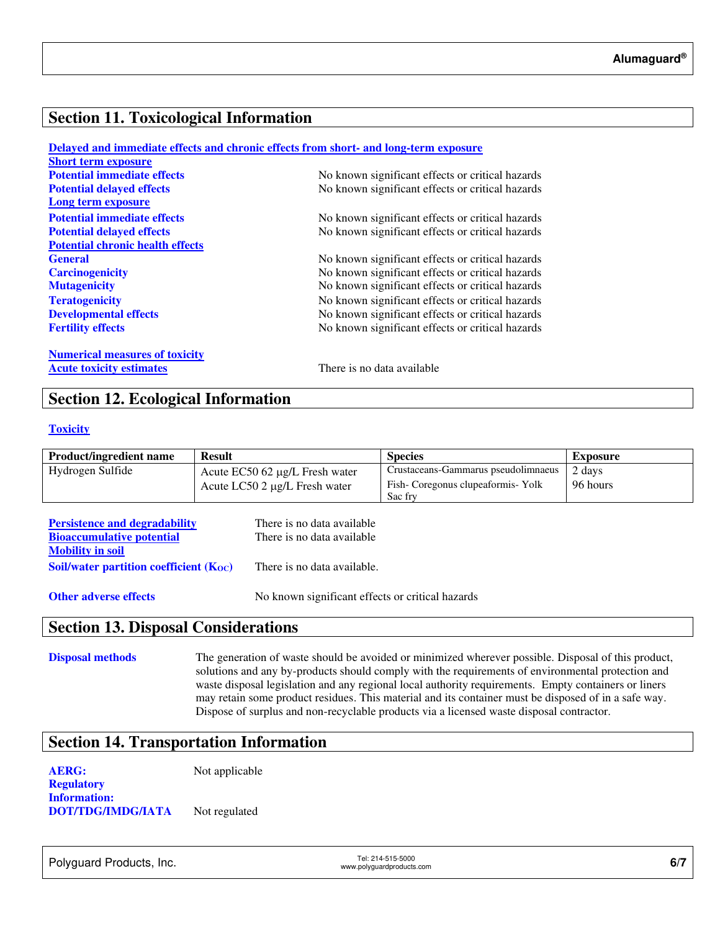### **Section 11. Toxicological Information**

|                                         | Delayed and immediate effects and chronic effects from short- and long-term exposure |
|-----------------------------------------|--------------------------------------------------------------------------------------|
| <b>Short term exposure</b>              |                                                                                      |
| <b>Potential immediate effects</b>      | No known significant effects or critical hazards                                     |
| <b>Potential delayed effects</b>        | No known significant effects or critical hazards                                     |
| Long term exposure                      |                                                                                      |
| <b>Potential immediate effects</b>      | No known significant effects or critical hazards                                     |
| <b>Potential delayed effects</b>        | No known significant effects or critical hazards                                     |
| <b>Potential chronic health effects</b> |                                                                                      |
| <b>General</b>                          | No known significant effects or critical hazards                                     |
| <b>Carcinogenicity</b>                  | No known significant effects or critical hazards                                     |
| <b>Mutagenicity</b>                     | No known significant effects or critical hazards                                     |
| <b>Teratogenicity</b>                   | No known significant effects or critical hazards                                     |
| <b>Developmental effects</b>            | No known significant effects or critical hazards                                     |
| <b>Fertility effects</b>                | No known significant effects or critical hazards                                     |
| <b>Numerical measures of toxicity</b>   |                                                                                      |
| <b>Acute toxicity estimates</b>         | There is no data available                                                           |

### **Section 12. Ecological Information**

#### **Toxicity**

| <b>Product/ingredient name</b> | <b>Result</b>                         | <b>Species</b>                      | Exposure |
|--------------------------------|---------------------------------------|-------------------------------------|----------|
| Hydrogen Sulfide               | Acute $EC50$ 62 $\mu$ g/L Fresh water | Crustaceans-Gammarus pseudolimnaeus | 2 days   |
|                                | Acute LC50 2 μg/L Fresh water         | Fish-Coregonus clupeaformis-Yolk    | 96 hours |
|                                |                                       | Sac fry                             |          |

| <b>Persistence and degradability</b>        | There is no data available  |
|---------------------------------------------|-----------------------------|
| <b>Bioaccumulative potential</b>            | There is no data available  |
| <b>Mobility in soil</b>                     |                             |
| Soil/water partition coefficient $(K_{OC})$ | There is no data available. |
|                                             |                             |

**Other adverse effects** No known significant effects or critical hazards

### **Section 13. Disposal Considerations**

**Disposal methods** The generation of waste should be avoided or minimized wherever possible. Disposal of this product, solutions and any by-products should comply with the requirements of environmental protection and waste disposal legislation and any regional local authority requirements. Empty containers or liners may retain some product residues. This material and its container must be disposed of in a safe way. Dispose of surplus and non-recyclable products via a licensed waste disposal contractor.

### **Section 14. Transportation Information**

**AERG:** Not applicable **Regulatory Information: DOT/TDG/IMDG/IATA** Not regulated

Polyguard Products, Inc. Tel: 214-515-5000

Tel: 214-515-5000<br>www.polyguardproducts.com **6/7**